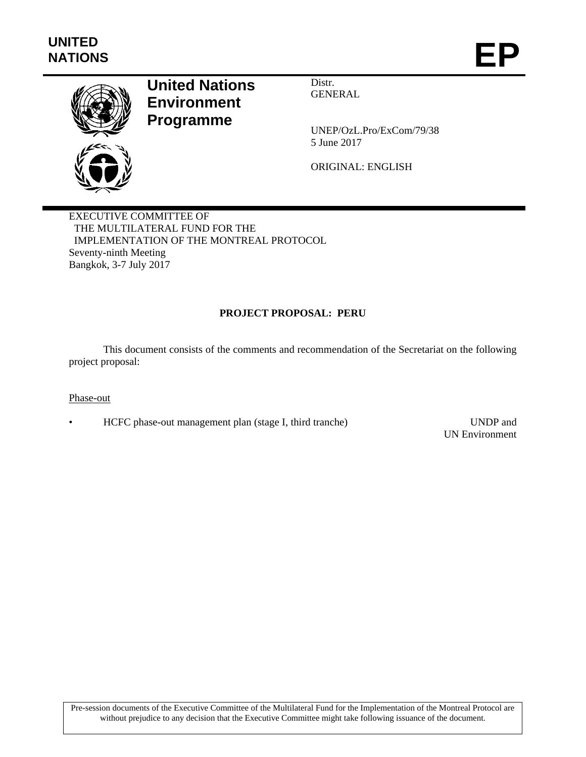

# **United Nations Environment Programme**

Distr. GENERAL

UNEP/OzL.Pro/ExCom/79/38 5 June 2017

ORIGINAL: ENGLISH

EXECUTIVE COMMITTEE OF THE MULTILATERAL FUND FOR THE IMPLEMENTATION OF THE MONTREAL PROTOCOL Seventy-ninth Meeting Bangkok, 3-7 July 2017

# **PROJECT PROPOSAL: PERU**

This document consists of the comments and recommendation of the Secretariat on the following project proposal:

#### Phase-out

• HCFC phase-out management plan (stage I, third tranche) UNDP and

UN Environment

Pre-session documents of the Executive Committee of the Multilateral Fund for the Implementation of the Montreal Protocol are without prejudice to any decision that the Executive Committee might take following issuance of the document.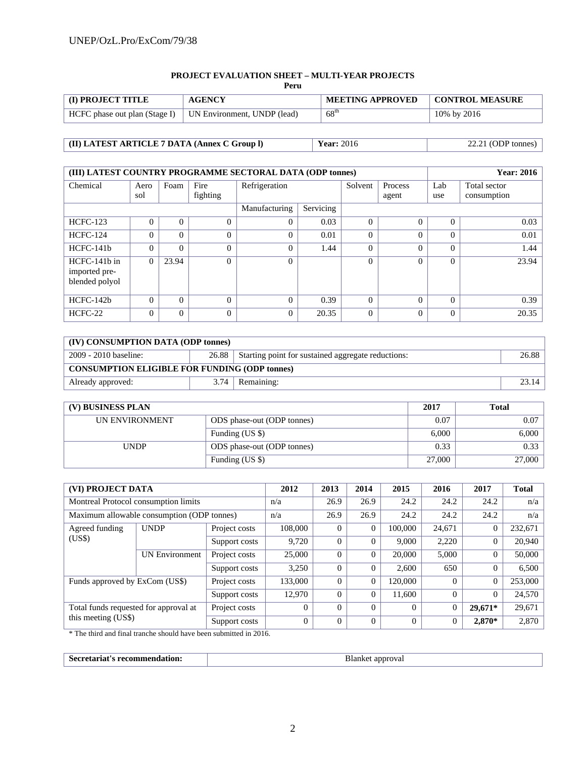#### **PROJECT EVALUATION SHEET – MULTI-YEAR PROJECTS**

| <b>I</b> (I) PROJECT TITLE                                  | <b>AGENCY</b> | <b>MEETING APPROVED</b> | <b>CONTROL MEASURE</b> |
|-------------------------------------------------------------|---------------|-------------------------|------------------------|
| HCFC phase out plan (Stage I)   UN Environment, UNDP (lead) |               | $68^{\text{th}}$        | 10% by 2016            |

# **(II) LATEST ARTICLE 7 DATA (Annex C Group l) Year:** 2016 22.21 (ODP tonnes)

| (III) LATEST COUNTRY PROGRAMME SECTORAL DATA (ODP tonnes) |          |          |          |                            |       |          | <b>Year: 2016</b> |          |              |
|-----------------------------------------------------------|----------|----------|----------|----------------------------|-------|----------|-------------------|----------|--------------|
| Chemical                                                  | Aero     | Foam     | Fire     | Refrigeration              |       | Solvent  | Process           | Lab      | Total sector |
|                                                           | sol      |          | fighting |                            |       |          | agent             | use      | consumption  |
|                                                           |          |          |          | Servicing<br>Manufacturing |       |          |                   |          |              |
| <b>HCFC-123</b>                                           | 0        | $\theta$ | $\Omega$ | $\Omega$                   | 0.03  | $\Omega$ | 0                 | 0        | 0.03         |
| <b>HCFC-124</b>                                           | $\Omega$ | $\Omega$ | $\Omega$ | $\Omega$                   | 0.01  | $\Omega$ | $\theta$          | $\Omega$ | 0.01         |
| $HCFC-141b$                                               | $\Omega$ | $\theta$ | $\Omega$ | $\Omega$                   | 1.44  | $\Omega$ | $\theta$          | $\Omega$ | 1.44         |
| HCFC-141b in<br>imported pre-<br>blended polyol           | $\Omega$ | 23.94    | $\Omega$ | $\Omega$                   |       | $\Omega$ | $\Omega$          | $\Omega$ | 23.94        |
| $HCFC-142b$                                               | $\Omega$ | $\Omega$ | $\Omega$ | $\Omega$                   | 0.39  | $\Omega$ | $\theta$          | $\theta$ | 0.39         |
| HCFC-22                                                   | $\Omega$ | $\Omega$ | $\Omega$ | $\Omega$                   | 20.35 | $\Omega$ | $\theta$          | $\Omega$ | 20.35        |

| (IV) CONSUMPTION DATA (ODP tonnes)                                                            |      |            |       |  |  |  |
|-----------------------------------------------------------------------------------------------|------|------------|-------|--|--|--|
| 2009 - 2010 baseline:<br>26.88<br>26.88<br>Starting point for sustained aggregate reductions: |      |            |       |  |  |  |
| <b>CONSUMPTION ELIGIBLE FOR FUNDING (ODP tonnes)</b>                                          |      |            |       |  |  |  |
| Already approved:                                                                             | 3.74 | Remaining: | 23.14 |  |  |  |

| (V) BUSINESS PLAN |                            | 2017   | <b>Total</b> |
|-------------------|----------------------------|--------|--------------|
| UN ENVIRONMENT    | ODS phase-out (ODP tonnes) | 0.07   | 0.07         |
|                   | Funding (US \$)            | 6.000  | 6,000        |
| <b>UNDP</b>       | ODS phase-out (ODP tonnes) | 0.33   | 0.33         |
|                   | Funding (US \$)            | 27,000 | 27,000       |

| (VI) PROJECT DATA                     |                                            |               | 2012     | 2013     | 2014           | 2015     | 2016     | 2017           | <b>Total</b> |
|---------------------------------------|--------------------------------------------|---------------|----------|----------|----------------|----------|----------|----------------|--------------|
| Montreal Protocol consumption limits  |                                            |               | n/a      | 26.9     | 26.9           | 24.2     | 24.2     | 24.2           | n/a          |
|                                       | Maximum allowable consumption (ODP tonnes) |               | n/a      | 26.9     | 26.9           | 24.2     | 24.2     | 24.2           | n/a          |
| Agreed funding                        | <b>UNDP</b>                                | Project costs | 108,000  | $\Omega$ | $\mathbf{0}$   | 100,000  | 24,671   | $\overline{0}$ | 232,671      |
| (US\$)                                |                                            | Support costs | 9.720    | $\Omega$ | $\Omega$       | 9,000    | 2.220    | $\Omega$       | 20,940       |
|                                       | <b>UN Environment</b>                      | Project costs | 25,000   | $\Omega$ | $\mathbf{0}$   | 20,000   | 5.000    | $\theta$       | 50,000       |
|                                       |                                            | Support costs | 3,250    | $\Omega$ | $\Omega$       | 2.600    | 650      | $\Omega$       | 6,500        |
| Funds approved by ExCom (US\$)        |                                            | Project costs | 133,000  | $\Omega$ | $\overline{0}$ | 120,000  | $\Omega$ | $\Omega$       | 253,000      |
|                                       |                                            | Support costs | 12,970   | $\Omega$ | $\overline{0}$ | 11,600   | $\Omega$ | $\Omega$       | 24,570       |
| Total funds requested for approval at |                                            | Project costs | $\Omega$ | $\Omega$ | $\Omega$       | $\Omega$ |          | 29,671*        | 29,671       |
| this meeting (US\$)                   |                                            | Support costs | $\Omega$ | $\Omega$ | $\Omega$       | $\Omega$ | $\Omega$ | 2,870*         | 2,870        |

\* The third and final tranche should have been submitted in 2016.

| ം പ്രദേശ<br>$\sim$<br>30000<br>'auon.<br>.<br>. .<br>.<br>. | adde<br>ovai<br>. |
|-------------------------------------------------------------|-------------------|
|-------------------------------------------------------------|-------------------|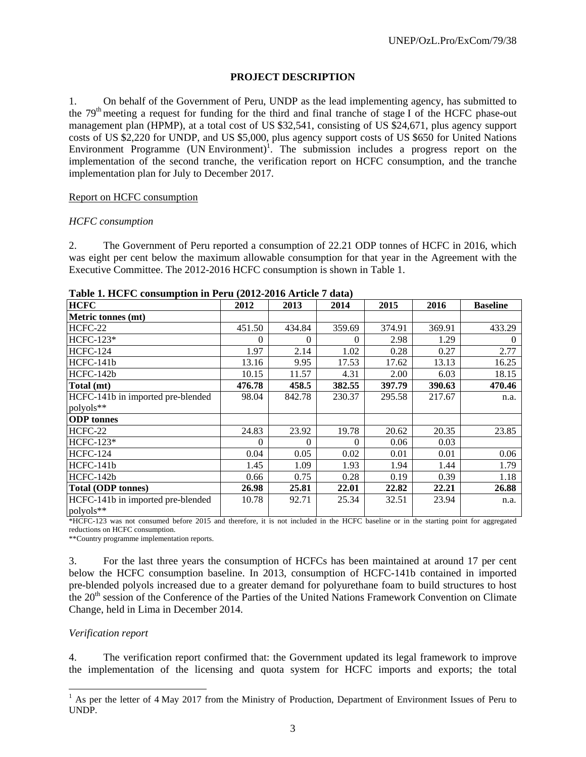# **PROJECT DESCRIPTION**

1. On behalf of the Government of Peru, UNDP as the lead implementing agency, has submitted to the 79<sup>th</sup> meeting a request for funding for the third and final tranche of stage I of the HCFC phase-out management plan (HPMP), at a total cost of US \$32,541, consisting of US \$24,671, plus agency support costs of US \$2,220 for UNDP, and US \$5,000, plus agency support costs of US \$650 for United Nations Environment Programme  $(UN Environment)^T$ . The submission includes a progress report on the implementation of the second tranche, the verification report on HCFC consumption, and the tranche implementation plan for July to December 2017.

#### Report on HCFC consumption

#### *HCFC consumption*

2. The Government of Peru reported a consumption of 22.21 ODP tonnes of HCFC in 2016, which was eight per cent below the maximum allowable consumption for that year in the Agreement with the Executive Committee. The 2012-2016 HCFC consumption is shown in Table 1.

| 1 aprel 1, 11 c1 c consumption in 1 c1 a (2012 2010 Al tick 7 aata) |          |          |          |        |        |                 |
|---------------------------------------------------------------------|----------|----------|----------|--------|--------|-----------------|
| <b>HCFC</b>                                                         | 2012     | 2013     | 2014     | 2015   | 2016   | <b>Baseline</b> |
| <b>Metric tonnes (mt)</b>                                           |          |          |          |        |        |                 |
| HCFC-22                                                             | 451.50   | 434.84   | 359.69   | 374.91 | 369.91 | 433.29          |
| $HCFC-123*$                                                         | 0        | $\Omega$ | 0        | 2.98   | 1.29   | $\Omega$        |
| <b>HCFC-124</b>                                                     | 1.97     | 2.14     | 1.02     | 0.28   | 0.27   | 2.77            |
| HCFC-141b                                                           | 13.16    | 9.95     | 17.53    | 17.62  | 13.13  | 16.25           |
| HCFC-142b                                                           | 10.15    | 11.57    | 4.31     | 2.00   | 6.03   | 18.15           |
| Total (mt)                                                          | 476.78   | 458.5    | 382.55   | 397.79 | 390.63 | 470.46          |
| HCFC-141b in imported pre-blended                                   | 98.04    | 842.78   | 230.37   | 295.58 | 217.67 | n.a.            |
| polyols**                                                           |          |          |          |        |        |                 |
| <b>ODP</b> tonnes                                                   |          |          |          |        |        |                 |
| HCFC-22                                                             | 24.83    | 23.92    | 19.78    | 20.62  | 20.35  | 23.85           |
| $HCFC-123*$                                                         | $\Omega$ | $\Omega$ | $\Omega$ | 0.06   | 0.03   |                 |
| <b>HCFC-124</b>                                                     | 0.04     | 0.05     | 0.02     | 0.01   | 0.01   | 0.06            |
| HCFC-141b                                                           | 1.45     | 1.09     | 1.93     | 1.94   | 1.44   | 1.79            |
| HCFC-142b                                                           | 0.66     | 0.75     | 0.28     | 0.19   | 0.39   | 1.18            |
| <b>Total (ODP tonnes)</b>                                           | 26.98    | 25.81    | 22.01    | 22.82  | 22.21  | 26.88           |
| HCFC-141b in imported pre-blended                                   | 10.78    | 92.71    | 25.34    | 32.51  | 23.94  | n.a.            |
| polyols**                                                           |          |          |          |        |        |                 |

**Table 1. HCFC consumption in Peru (2012-2016 Article 7 data)** 

\*HCFC-123 was not consumed before 2015 and therefore, it is not included in the HCFC baseline or in the starting point for aggregated reductions on HCFC consumption.

\*\*Country programme implementation reports.

3. For the last three years the consumption of HCFCs has been maintained at around 17 per cent below the HCFC consumption baseline. In 2013, consumption of HCFC-141b contained in imported pre-blended polyols increased due to a greater demand for polyurethane foam to build structures to host the 20<sup>th</sup> session of the Conference of the Parties of the United Nations Framework Convention on Climate Change, held in Lima in December 2014.

# *Verification report*

1

4. The verification report confirmed that: the Government updated its legal framework to improve the implementation of the licensing and quota system for HCFC imports and exports; the total

<sup>&</sup>lt;sup>1</sup> As per the letter of 4 May 2017 from the Ministry of Production, Department of Environment Issues of Peru to UNDP.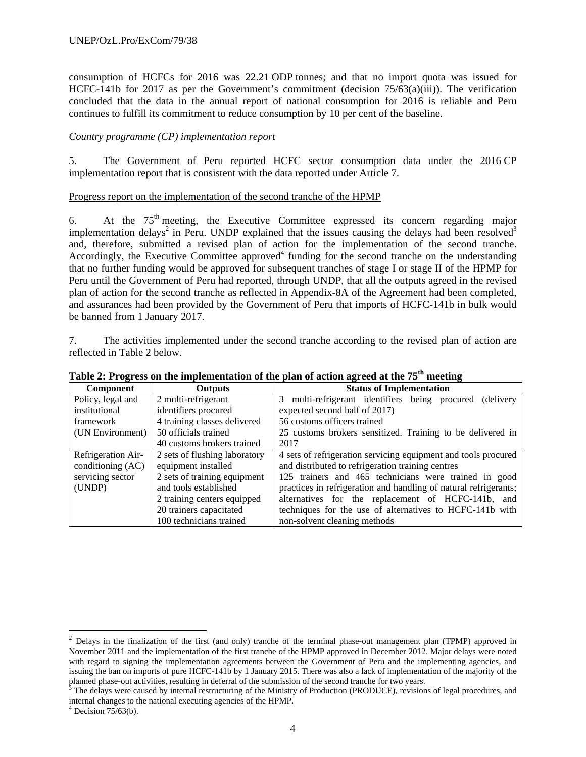consumption of HCFCs for 2016 was 22.21 ODP tonnes; and that no import quota was issued for HCFC-141b for 2017 as per the Government's commitment (decision  $75/63(a)(iii)$ ). The verification concluded that the data in the annual report of national consumption for 2016 is reliable and Peru continues to fulfill its commitment to reduce consumption by 10 per cent of the baseline.

# *Country programme (CP) implementation report*

5. The Government of Peru reported HCFC sector consumption data under the 2016 CP implementation report that is consistent with the data reported under Article 7.

#### Progress report on the implementation of the second tranche of the HPMP

6. At the  $75<sup>th</sup>$  meeting, the Executive Committee expressed its concern regarding major implementation delays<sup>2</sup> in Peru. UNDP explained that the issues causing the delays had been resolved<sup>3</sup> and, therefore, submitted a revised plan of action for the implementation of the second tranche. Accordingly, the Executive Committee approved<sup>4</sup> funding for the second tranche on the understanding that no further funding would be approved for subsequent tranches of stage I or stage II of the HPMP for Peru until the Government of Peru had reported, through UNDP, that all the outputs agreed in the revised plan of action for the second tranche as reflected in Appendix-8A of the Agreement had been completed, and assurances had been provided by the Government of Peru that imports of HCFC-141b in bulk would be banned from 1 January 2017.

7. The activities implemented under the second tranche according to the revised plan of action are reflected in Table 2 below.

| Component          | <b>Status of Implementation</b><br><b>Outputs</b>                                         |                                                                |  |  |  |  |  |  |  |
|--------------------|-------------------------------------------------------------------------------------------|----------------------------------------------------------------|--|--|--|--|--|--|--|
| Policy, legal and  | 2 multi-refrigerant                                                                       | 3 multi-refrigerant identifiers being procured (delivery       |  |  |  |  |  |  |  |
| institutional      | identifiers procured                                                                      | expected second half of 2017)                                  |  |  |  |  |  |  |  |
| framework          | 4 training classes delivered                                                              | 56 customs officers trained                                    |  |  |  |  |  |  |  |
| (UN Environment)   | 50 officials trained                                                                      | 25 customs brokers sensitized. Training to be delivered in     |  |  |  |  |  |  |  |
|                    | 40 customs brokers trained                                                                | 2017                                                           |  |  |  |  |  |  |  |
| Refrigeration Air- | 2 sets of flushing laboratory                                                             | 4 sets of refrigeration servicing equipment and tools procured |  |  |  |  |  |  |  |
| conditioning (AC)  | equipment installed                                                                       | and distributed to refrigeration training centres              |  |  |  |  |  |  |  |
| servicing sector   | 2 sets of training equipment                                                              | 125 trainers and 465 technicians were trained in good          |  |  |  |  |  |  |  |
| (UNDP)             | and tools established<br>practices in refrigeration and handling of natural refrigerants; |                                                                |  |  |  |  |  |  |  |
|                    | 2 training centers equipped                                                               | alternatives for the replacement of HCFC-141b, and             |  |  |  |  |  |  |  |
|                    | 20 trainers capacitated                                                                   | techniques for the use of alternatives to HCFC-141b with       |  |  |  |  |  |  |  |
|                    | 100 technicians trained                                                                   | non-solvent cleaning methods                                   |  |  |  |  |  |  |  |

| Table 2: Progress on the implementation of the plan of action agreed at the 75 <sup>th</sup> meeting |  |
|------------------------------------------------------------------------------------------------------|--|
|------------------------------------------------------------------------------------------------------|--|

l

 $2$  Delays in the finalization of the first (and only) tranche of the terminal phase-out management plan (TPMP) approved in November 2011 and the implementation of the first tranche of the HPMP approved in December 2012. Major delays were noted with regard to signing the implementation agreements between the Government of Peru and the implementing agencies, and issuing the ban on imports of pure HCFC-141b by 1 January 2015. There was also a lack of implementation of the majority of the

planned phase-out activities, resulting in deferral of the submission of the second tranche for two years.<br><sup>3</sup> The delays were caused by internal restructuring of the Ministry of Production (PRODUCE), revisions of legal pr internal changes to the national executing agencies of the HPMP.

 $4$  Decision 75/63(b).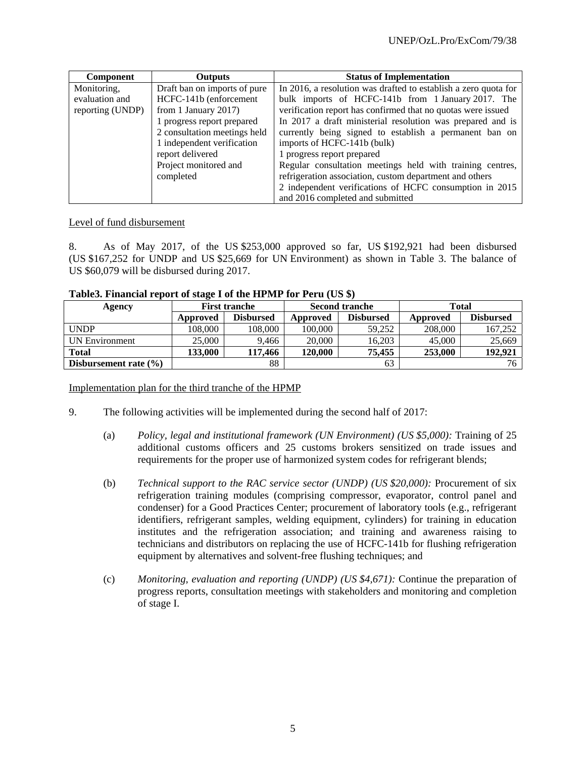| <b>Component</b> | <b>Outputs</b>               | <b>Status of Implementation</b>                                 |
|------------------|------------------------------|-----------------------------------------------------------------|
| Monitoring,      | Draft ban on imports of pure | In 2016, a resolution was drafted to establish a zero quota for |
| evaluation and   | HCFC-141b (enforcement       | bulk imports of HCFC-141b from 1 January 2017. The              |
| reporting (UNDP) | from 1 January $2017$ )      | verification report has confirmed that no quotas were issued    |
|                  | 1 progress report prepared   | In 2017 a draft ministerial resolution was prepared and is      |
|                  | 2 consultation meetings held | currently being signed to establish a permanent ban on          |
|                  | 1 independent verification   | imports of HCFC-141b (bulk)                                     |
|                  | report delivered             | 1 progress report prepared                                      |
|                  | Project monitored and        | Regular consultation meetings held with training centres,       |
|                  | completed                    | refrigeration association, custom department and others         |
|                  |                              | 2 independent verifications of HCFC consumption in 2015         |
|                  |                              | and 2016 completed and submitted                                |

#### Level of fund disbursement

8. As of May 2017, of the US \$253,000 approved so far, US \$192,921 had been disbursed (US \$167,252 for UNDP and US \$25,669 for UN Environment) as shown in Table 3. The balance of US \$60,079 will be disbursed during 2017.

| Table3. Financial report of stage I of the HPMP for Peru (US \$) |  |  |  |
|------------------------------------------------------------------|--|--|--|
|                                                                  |  |  |  |

| Agency                    | <b>First tranche</b> |                  | <b>Second tranche</b> |                  | <b>Total</b> |                  |
|---------------------------|----------------------|------------------|-----------------------|------------------|--------------|------------------|
|                           | Approved             | <b>Disbursed</b> | Approved              | <b>Disbursed</b> | Approved     | <b>Disbursed</b> |
| <b>UNDP</b>               | 108.000              | 108.000          | 100,000               | 59.252           | 208,000      | 167.252          |
| UN Environment            | 25,000               | 9.466            | 20,000                | 16.203           | 45,000       | 25,669           |
| <b>Total</b>              | 133.000              | 117.466          | 120,000               | 75,455           | 253,000      | 192,921          |
| Disbursement rate $(\% )$ |                      | 88               |                       | 63               |              | 76 <sub>1</sub>  |

Implementation plan for the third tranche of the HPMP

- 9. The following activities will be implemented during the second half of 2017:
	- (a) *Policy, legal and institutional framework (UN Environment) (US \$5,000):* Training of 25 additional customs officers and 25 customs brokers sensitized on trade issues and requirements for the proper use of harmonized system codes for refrigerant blends;
	- (b) *Technical support to the RAC service sector (UNDP) (US \$20,000):* Procurement of six refrigeration training modules (comprising compressor, evaporator, control panel and condenser) for a Good Practices Center; procurement of laboratory tools (e.g., refrigerant identifiers, refrigerant samples, welding equipment, cylinders) for training in education institutes and the refrigeration association; and training and awareness raising to technicians and distributors on replacing the use of HCFC-141b for flushing refrigeration equipment by alternatives and solvent-free flushing techniques; and
	- (c) *Monitoring, evaluation and reporting (UNDP) (US \$4,671):* Continue the preparation of progress reports, consultation meetings with stakeholders and monitoring and completion of stage I.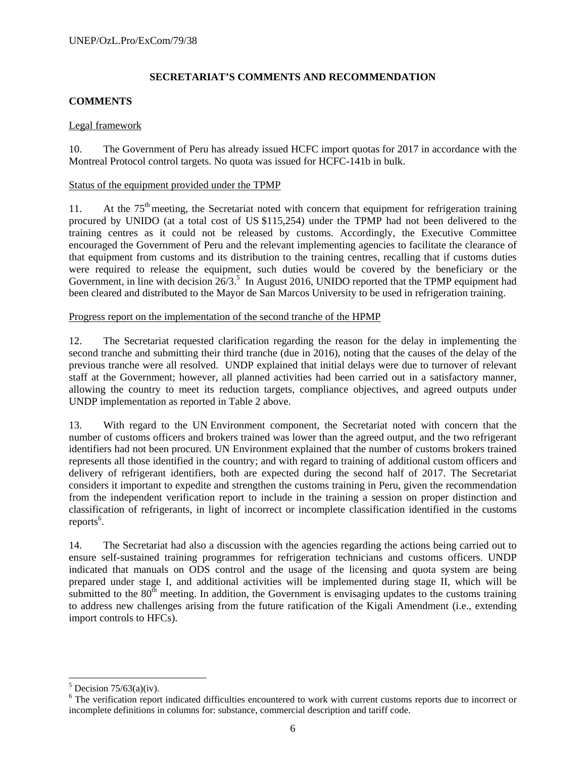# **SECRETARIAT'S COMMENTS AND RECOMMENDATION**

# **COMMENTS**

# Legal framework

10. The Government of Peru has already issued HCFC import quotas for 2017 in accordance with the Montreal Protocol control targets. No quota was issued for HCFC-141b in bulk.

# Status of the equipment provided under the TPMP

11. At the  $75<sup>th</sup>$  meeting, the Secretariat noted with concern that equipment for refrigeration training procured by UNIDO (at a total cost of US \$115,254) under the TPMP had not been delivered to the training centres as it could not be released by customs. Accordingly, the Executive Committee encouraged the Government of Peru and the relevant implementing agencies to facilitate the clearance of that equipment from customs and its distribution to the training centres, recalling that if customs duties were required to release the equipment, such duties would be covered by the beneficiary or the Government, in line with decision  $26/3$ .<sup>5</sup> In August 2016, UNIDO reported that the TPMP equipment had been cleared and distributed to the Mayor de San Marcos University to be used in refrigeration training.

# Progress report on the implementation of the second tranche of the HPMP

12. The Secretariat requested clarification regarding the reason for the delay in implementing the second tranche and submitting their third tranche (due in 2016), noting that the causes of the delay of the previous tranche were all resolved. UNDP explained that initial delays were due to turnover of relevant staff at the Government; however, all planned activities had been carried out in a satisfactory manner, allowing the country to meet its reduction targets, compliance objectives, and agreed outputs under UNDP implementation as reported in Table 2 above.

13. With regard to the UN Environment component, the Secretariat noted with concern that the number of customs officers and brokers trained was lower than the agreed output, and the two refrigerant identifiers had not been procured. UN Environment explained that the number of customs brokers trained represents all those identified in the country; and with regard to training of additional custom officers and delivery of refrigerant identifiers, both are expected during the second half of 2017. The Secretariat considers it important to expedite and strengthen the customs training in Peru, given the recommendation from the independent verification report to include in the training a session on proper distinction and classification of refrigerants, in light of incorrect or incomplete classification identified in the customs reports<sup>6</sup>.

14. The Secretariat had also a discussion with the agencies regarding the actions being carried out to ensure self-sustained training programmes for refrigeration technicians and customs officers. UNDP indicated that manuals on ODS control and the usage of the licensing and quota system are being prepared under stage I, and additional activities will be implemented during stage II, which will be submitted to the  $80<sup>th</sup>$  meeting. In addition, the Government is envisaging updates to the customs training to address new challenges arising from the future ratification of the Kigali Amendment (i.e., extending import controls to HFCs).

l

 $<sup>5</sup>$  Decision 75/63(a)(iv).</sup>

<sup>&</sup>lt;sup>6</sup> The verification report indicated difficulties encountered to work with current customs reports due to incorrect or incomplete definitions in columns for: substance, commercial description and tariff code.